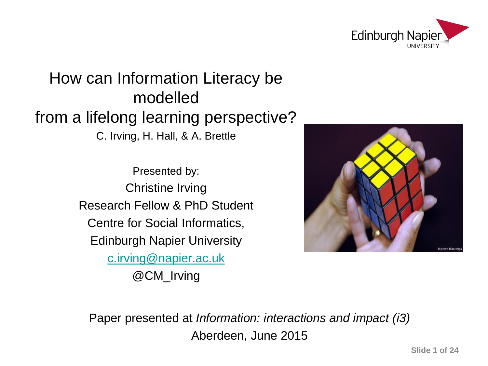

## How can Information Literacy be modelled from a lifelong learning perspective?

C. Irving, H. Hall, & A. Brettle

Presented by: Christine Irving Research Fellow & PhD Student Centre for Social Informatics, Edinburgh Napier University [c.irving@napier.ac.uk](mailto:c.irving@napier.ac.uk) @CM\_Irving



Paper presented at *Information: interactions and impact (i3)* Aberdeen, June 2015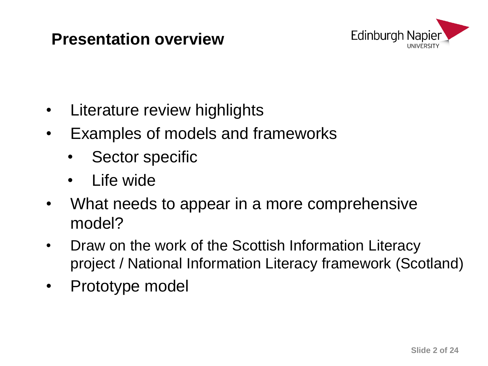#### **Presentation overview**



- Literature review highlights
- Examples of models and frameworks
	- Sector specific
	- Life wide
- What needs to appear in a more comprehensive model?
- Draw on the work of the Scottish Information Literacy project / National Information Literacy framework (Scotland)
- Prototype model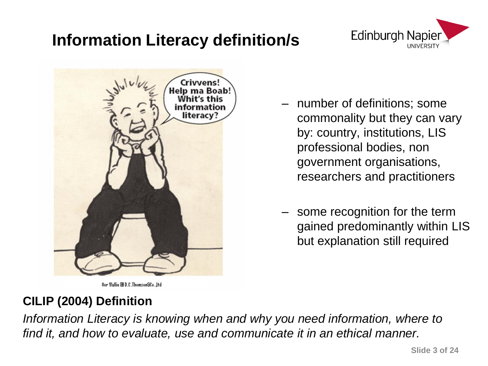### **Information Literacy definition/s**





- number of definitions; some commonality but they can vary by: country, institutions, LIS professional bodies, non government organisations, researchers and practitioners
- some recognition for the term gained predominantly within LIS but explanation still required

#### **CILIP (2004) Definition**

*Information Literacy is knowing when and why you need information, where to find it, and how to evaluate, use and communicate it in an ethical manner.*

Oor Wullie @ D.C.ThomsonSCo. Ltd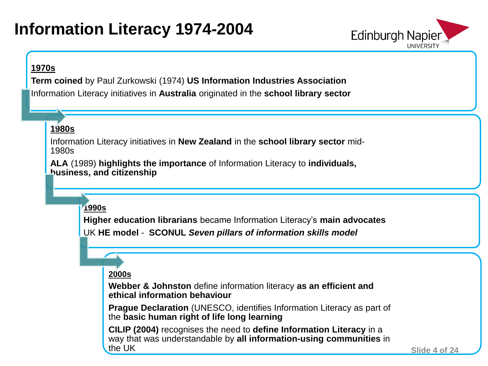### **Information Literacy 1974-2004**



#### **1970s**

**Term coined** by Paul Zurkowski (1974) **US Information Industries Association**

Information Literacy initiatives in **Australia** originated in the **school library sector** 

#### **1980s**

Information Literacy initiatives in **New Zealand** in the **school library sector** mid-1980s

**ALA** (1989) **highlights the importance** of Information Literacy to **individuals, business, and citizenship**

#### **1990s**

**Higher education librarians** became Information Literacy's **main advocates**  UK **HE model** - **SCONUL** *Seven pillars of information skills model*

#### **2000s**

**Webber & Johnston** define information literacy **as an efficient and ethical information behaviour**

**Prague Declaration** (UNESCO, identifies Information Literacy as part of the **basic human right of life long learning**

**CILIP (2004)** recognises the need to **define Information Literacy** in a way that was understandable by **all information-using communities** in the UK

**Slide 4 of 24**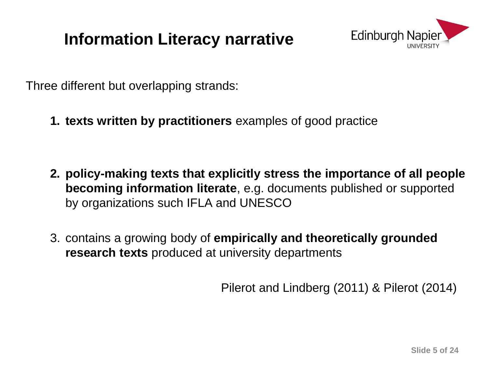### **Information Literacy narrative**



Three different but overlapping strands:

**1. texts written by practitioners** examples of good practice

- **2. policy-making texts that explicitly stress the importance of all people becoming information literate**, e.g. documents published or supported by organizations such IFLA and UNESCO
- 3. contains a growing body of **empirically and theoretically grounded research texts** produced at university departments

Pilerot and Lindberg (2011) & Pilerot (2014)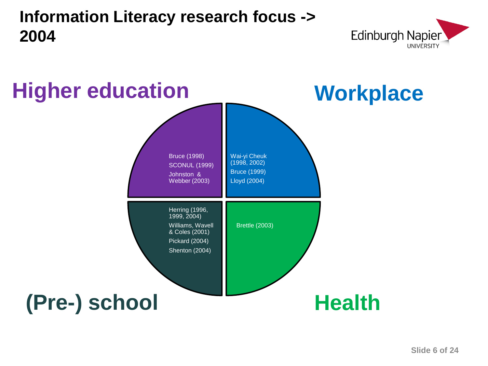#### Herring (1996, 1999, 2004) Williams, Wavell & Coles (2001) Pickard (2004) Shenton (2004) Bruce (1998) SCONUL (1999) Johnston & Webber (2003) Brettle (2003)  $J_2$  and  $J_3$  and  $J_4$  and  $J_5$  and  $J_6$  and  $J_7$  and  $J_8$  and  $J_9$  and  $J_9$  and  $J_9$  and  $J_9$  and  $J_9$  and  $J_9$  and  $J_9$  and  $J_9$  and  $J_9$  and  $J_9$  and  $J_9$  and  $J_9$  and  $J_9$  and  $J_9$  and  $J_9$  and Goldstein (2014) Wai-yi Cheuk (1998, 2002) Bruce (1999) Lloyd (2004) **Workplace Health Higher education (Pre-) school**

### **Information Literacy research focus -> 2004**

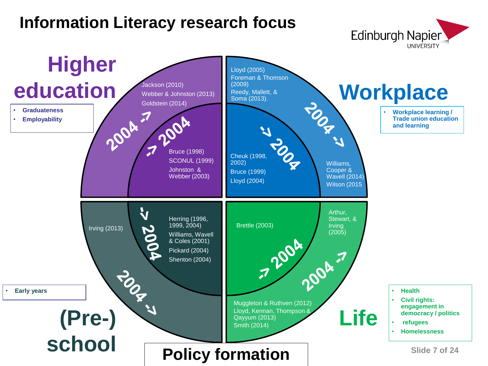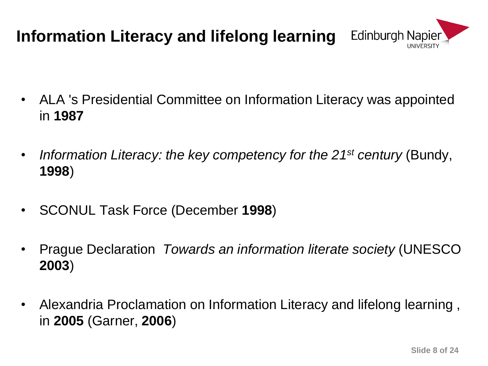## **Information Literacy and lifelong learning**



- ALA 's Presidential Committee on Information Literacy was appointed in **1987**
- *Information Literacy: the key competency for the 21st century* (Bundy, **1998**)
- SCONUL Task Force (December **1998**)
- Prague Declaration *Towards an information literate society* (UNESCO **2003**)
- Alexandria Proclamation on Information Literacy and lifelong learning , in **2005** (Garner, **2006**)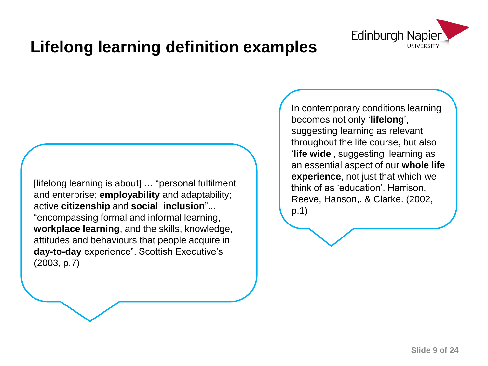

### **Lifelong learning definition examples**

[lifelong learning is about] … "personal fulfilment and enterprise; **employability** and adaptability; active **citizenship** and **social inclusion**"... "encompassing formal and informal learning, **workplace learning**, and the skills, knowledge, attitudes and behaviours that people acquire in **day-to-day** experience". Scottish Executive's (2003, p.7)

In contemporary conditions learning becomes not only '**lifelong**', suggesting learning as relevant throughout the life course, but also '**life wide**', suggesting learning as an essential aspect of our **whole life experience**, not just that which we think of as 'education'. Harrison, Reeve, Hanson,. & Clarke. (2002, p.1)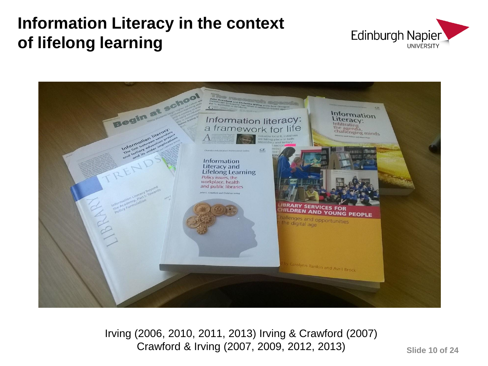### **Information Literacy in the context of lifelong learning**





Irving (2006, 2010, 2011, 2013) Irving & Crawford (2007) Crawford & Irving (2007, 2009, 2012, 2013)

**Slide 10 of 24**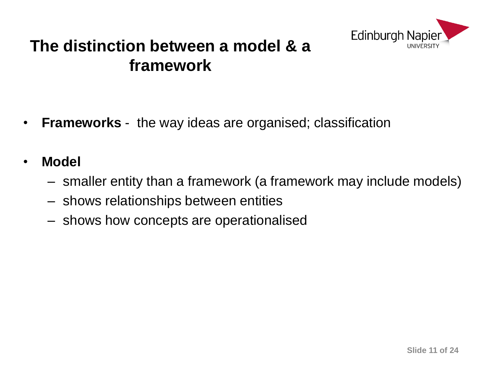

#### **The distinction between a model & a framework**

- **Frameworks** the way ideas are organised; classification
- **Model**
	- smaller entity than a framework (a framework may include models)
	- shows relationships between entities
	- shows how concepts are operationalised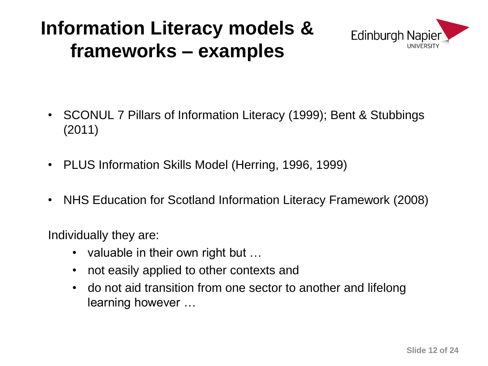# **Information Literacy models & frameworks – examples**



- SCONUL 7 Pillars of Information Literacy (1999); Bent & Stubbings (2011)
- PLUS Information Skills Model (Herring, 1996, 1999)
- NHS Education for Scotland Information Literacy Framework (2008)

Individually they are:

- valuable in their own right but ...
- not easily applied to other contexts and
- do not aid transition from one sector to another and lifelong learning however …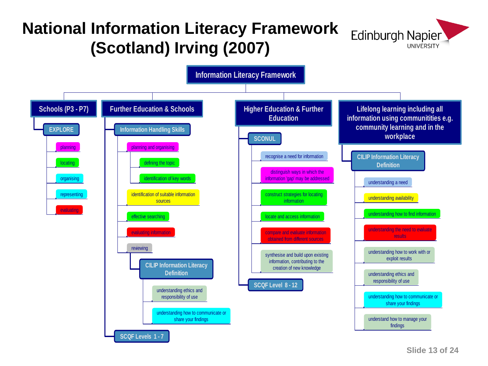### **National Information Literacy Framework (Scotland) Irving (2007)**



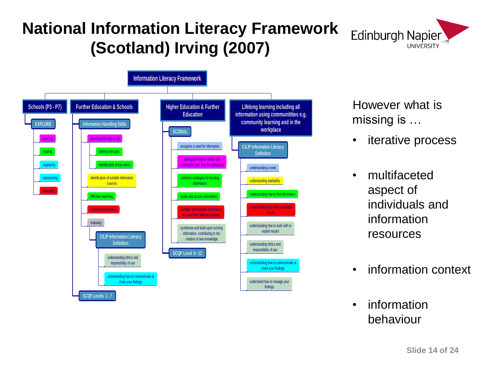### **National Information Literacy Framework (Scotland) Irving (2007)**





However what is missing is …

- iterative process
- multifaceted aspect of individuals and information resources
- information context
- information behaviour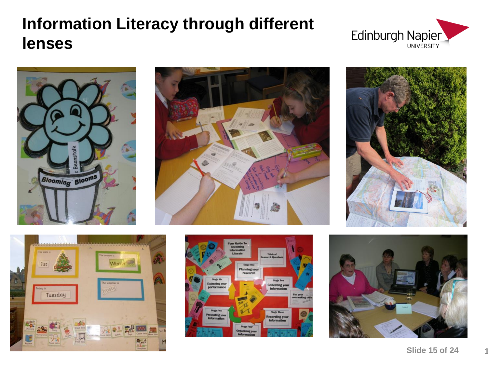#### **Slide 15 of 24 15**















## **Information Literacy through different lenses**



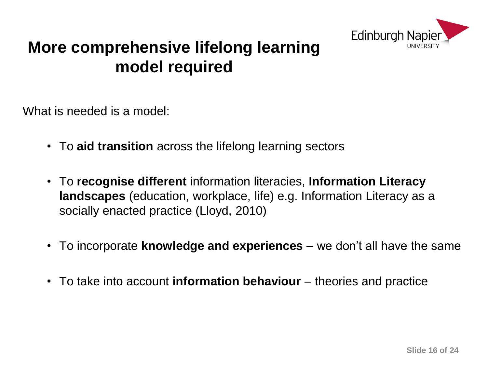

#### **More comprehensive lifelong learning model required**

What is needed is a model:

- To **aid transition** across the lifelong learning sectors
- To **recognise different** information literacies, **Information Literacy landscapes** (education, workplace, life) e.g. Information Literacy as a socially enacted practice (Lloyd, 2010)
- To incorporate **knowledge and experiences**  we don't all have the same
- To take into account **information behaviour** theories and practice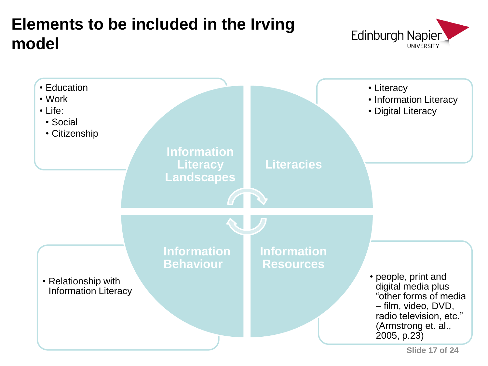

**Slide 17 of 24**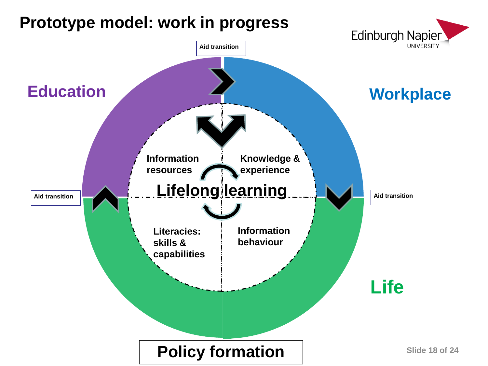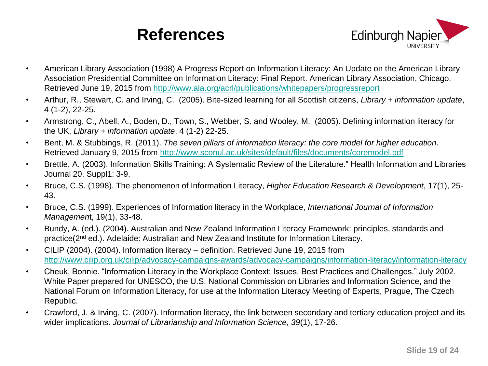

- American Library Association (1998) A Progress Report on Information Literacy: An Update on the American Library Association Presidential Committee on Information Literacy: Final Report. American Library Association, Chicago. Retrieved June 19, 2015 from<http://www.ala.org/acrl/publications/whitepapers/progressreport>
- Arthur, R., Stewart, C. and Irving, C. (2005). Bite-sized learning for all Scottish citizens, *Library + information update*, 4 (1-2), 22-25.
- Armstrong, C., Abell, A., Boden, D., Town, S., Webber, S. and Wooley, M. (2005). Defining information literacy for the UK, *Library + information update*, 4 (1-2) 22-25.
- Bent, M. & Stubbings, R. (2011). *The seven pillars of information literacy: the core model for higher education*. Retrieved January 9, 2015 from<http://www.sconul.ac.uk/sites/default/files/documents/coremodel.pdf>
- Brettle, A. (2003). Information Skills Training: A Systematic Review of the Literature." Health Information and Libraries Journal 20. Suppl1: 3-9.
- Bruce, C.S. (1998). The phenomenon of Information Literacy, *Higher Education Research & Development*, 17(1), 25- 43.
- Bruce, C.S. (1999). Experiences of Information literacy in the Workplace, *International Journal of Information Managemen*t, 19(1), 33-48.
- Bundy, A. (ed.). (2004). Australian and New Zealand Information Literacy Framework: principles, standards and practice(2nd ed.). Adelaide: Australian and New Zealand Institute for Information Literacy.
- CILIP (2004). (2004). Information literacy definition. Retrieved June 19, 2015 from <http://www.cilip.org.uk/cilip/advocacy-campaigns-awards/advocacy-campaigns/information-literacy/information-literacy>
- Cheuk, Bonnie. "Information Literacy in the Workplace Context: Issues, Best Practices and Challenges." July 2002. White Paper prepared for UNESCO, the U.S. National Commission on Libraries and Information Science, and the National Forum on Information Literacy, for use at the Information Literacy Meeting of Experts, Prague, The Czech Republic.
- Crawford, J. & Irving, C. (2007). Information literacy, the link between secondary and tertiary education project and its wider implications. *Journal of Librarianship and Information Science, 39*(1), 17-26.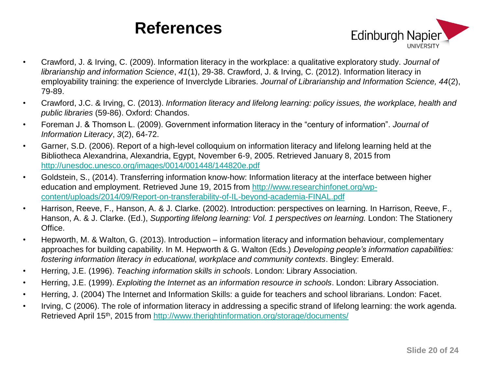

- Crawford, J. & Irving, C. (2009). Information literacy in the workplace: a qualitative exploratory study. *Journal of librarianship and information Science*, *41*(1), 29-38. Crawford, J. & Irving, C. (2012). Information literacy in employability training: the experience of Inverclyde Libraries. *Journal of Librarianship and Information Science, 44*(2), 79-89.
- Crawford, J.C. & Irving, C. (2013). *Information literacy and lifelong learning: policy issues, the workplace, health and public libraries* (59-86). Oxford: Chandos.
- Foreman J. & Thomson L. (2009). Government information literacy in the "century of information". *Journal of Information Literacy*, *3*(2), 64-72.
- Garner, S.D. (2006). Report of a high-level colloquium on information literacy and lifelong learning held at the Bibliotheca Alexandrina, Alexandria, Egypt, November 6-9, 2005. Retrieved January 8, 2015 from <http://unesdoc.unesco.org/images/0014/001448/144820e.pdf>
- Goldstein, S., (2014). Transferring information know-how: Information literacy at the interface between higher education and employment. Retrieved June 19, 2015 from [http://www.researchinfonet.org/wp](http://www.researchinfonet.org/wp-content/uploads/2014/09/Report-on-transferability-of-IL-beyond-academia-FINAL.pdf)[content/uploads/2014/09/Report-on-transferability-of-IL-beyond-academia-FINAL.pdf](http://www.researchinfonet.org/wp-content/uploads/2014/09/Report-on-transferability-of-IL-beyond-academia-FINAL.pdf)
- Harrison, Reeve, F., Hanson, A. & J. Clarke. (2002). Introduction: perspectives on learning. In Harrison, Reeve, F., Hanson, A. & J. Clarke. (Ed.), *Supporting lifelong learning: Vol. 1 perspectives on learning.* London: The Stationery Office.
- Hepworth, M. & Walton, G. (2013). Introduction information literacy and information behaviour, complementary approaches for building capability. In M. Hepworth & G. Walton (Eds.) *Developing people's information capabilities: fostering information literacy in educational, workplace and community contexts*. Bingley: Emerald.
- Herring, J.E. (1996). *Teaching information skills in schools*. London: Library Association.
- Herring, J.E. (1999). *Exploiting the Internet as an information resource in schools*. London: Library Association.
- Herring, J. (2004) The Internet and Information Skills: a guide for teachers and school librarians. London: Facet.
- Irving, C (2006). The role of information literacy in addressing a specific strand of lifelong learning: the work agenda. Retrieved April 15<sup>th</sup>, 2015 from<http://www.therightinformation.org/storage/documents/>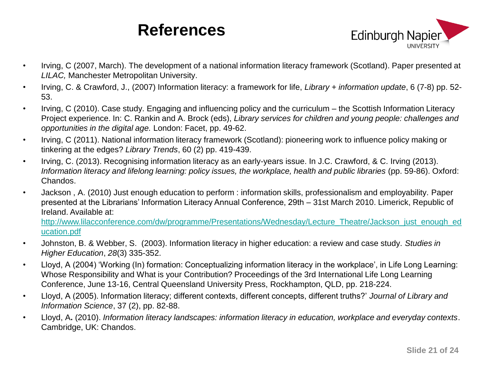

- Irving, C (2007, March). The development of a national information literacy framework (Scotland). Paper presented at *LILAC,* Manchester Metropolitan University.
- Irving, C. & Crawford, J., (2007) Information literacy: a framework for life, *Library + information update*, 6 (7-8) pp. 52- 53.
- Irving, C (2010). Case study. Engaging and influencing policy and the curriculum the Scottish Information Literacy Project experience. In: C. Rankin and A. Brock (eds), *Library services for children and young people: challenges and opportunities in the digital age.* London: Facet, pp. 49-62.
- Irving, C (2011). National information literacy framework (Scotland): pioneering work to influence policy making or tinkering at the edges? *Library Trends*, 60 (2) pp. 419-439.
- Irving, C. (2013). Recognising information literacy as an early-years issue. In J.C. Crawford, & C. Irving (2013). *Information literacy and lifelong learning: policy issues, the workplace, health and public libraries* (pp. 59-86). Oxford: Chandos.
- Jackson , A. (2010) Just enough education to perform : information skills, professionalism and employability. Paper presented at the Librarians' Information Literacy Annual Conference, 29th – 31st March 2010. Limerick, Republic of Ireland. Available at:

[http://www.lilacconference.com/dw/programme/Presentations/Wednesday/Lecture\\_Theatre/Jackson\\_just\\_enough\\_ed](http://www.lilacconference.com/dw/programme/Presentations/Wednesday/Lecture_Theatre/Jackson_just_enough_education.pdf) [ucation.pdf](http://www.lilacconference.com/dw/programme/Presentations/Wednesday/Lecture_Theatre/Jackson_just_enough_education.pdf)

- Johnston, B. & Webber, S. (2003). Information literacy in higher education: a review and case study. *Studies in Higher Education*, *28*(3) 335-352.
- Lloyd, A (2004) 'Working (In) formation: Conceptualizing information literacy in the workplace', in Life Long Learning: Whose Responsibility and What is your Contribution? Proceedings of the 3rd International Life Long Learning Conference, June 13-16, Central Queensland University Press, Rockhampton, QLD, pp. 218-224.
- Lloyd, A (2005). Information literacy; different contexts, different concepts, different truths?' *Journal of Library and Information Science*, 37 (2), pp. 82-88.
- Lloyd, A**.** (2010). *Information literacy landscapes: information literacy in education, workplace and everyday contexts*. Cambridge, UK: Chandos.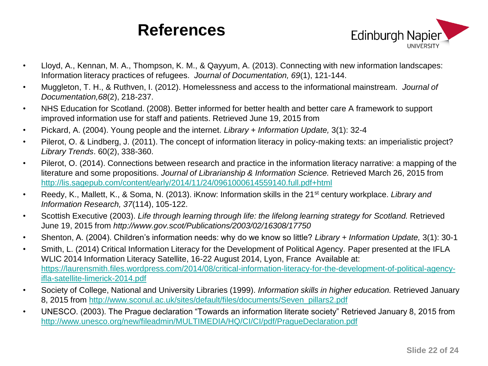

- Lloyd, A., Kennan, M. A., Thompson, K. M., & Qayyum, A. (2013). Connecting with new information landscapes: Information literacy practices of refugees. *Journal of Documentation, 69*(1), 121-144.
- Muggleton, T. H., & Ruthven, I. (2012). Homelessness and access to the informational mainstream. *Journal of Documentation,68*(2), 218-237.
- NHS Education for Scotland. (2008). Better informed for better health and better care A framework to support improved information use for staff and patients. Retrieved June 19, 2015 from
- Pickard, A. (2004). Young people and the internet. *Library + Information Update,* 3(1): 32-4
- Pilerot, O. & Lindberg, J. (2011). The concept of information literacy in policy-making texts: an imperialistic project? *Library Trends*. 60(2), 338-360.
- Pilerot, O. (2014). Connections between research and practice in the information literacy narrative: a mapping of the literature and some propositions. *Journal of Librarianship & Information Science.* Retrieved March 26, 2015 from <http://lis.sagepub.com/content/early/2014/11/24/0961000614559140.full.pdf+html>
- Reedy, K., Mallett, K., & Soma, N. (2013). iKnow: Information skills in the 21st century workplace. *Library and Information Research, 37*(114), 105-122.
- Scottish Executive (2003). *Life through learning through life: the lifelong learning strategy for Scotland.* Retrieved June 19, 2015 from *http://www.gov.scot/Publications/2003/02/16308/17750*
- Shenton, A. (2004). Children's information needs: why do we know so little? *Library + Information Update,* 3(1): 30-1
- Smith, L. (2014) Critical Information Literacy for the Development of Political Agency. Paper presented at the IFLA WLIC 2014 Information Literacy Satellite, 16-22 August 2014, Lyon, France Available at: [https://laurensmith.files.wordpress.com/2014/08/critical-information-literacy-for-the-development-of-political-agency](https://laurensmith.files.wordpress.com/2014/08/critical-information-literacy-for-the-development-of-political-agency-ifla-satellite-limerick-2014.pdf)[ifla-satellite-limerick-2014.pdf](https://laurensmith.files.wordpress.com/2014/08/critical-information-literacy-for-the-development-of-political-agency-ifla-satellite-limerick-2014.pdf)
- Society of College, National and University Libraries (1999). *Information skills in higher education.* Retrieved January 8, 2015 from [http://www.sconul.ac.uk/sites/default/files/documents/Seven\\_pillars2.pdf](http://www.sconul.ac.uk/sites/default/files/documents/Seven_pillars2.pdf)
- UNESCO. (2003). The Prague declaration "Towards an information literate society" Retrieved January 8, 2015 from <http://www.unesco.org/new/fileadmin/MULTIMEDIA/HQ/CI/CI/pdf/PragueDeclaration.pdf>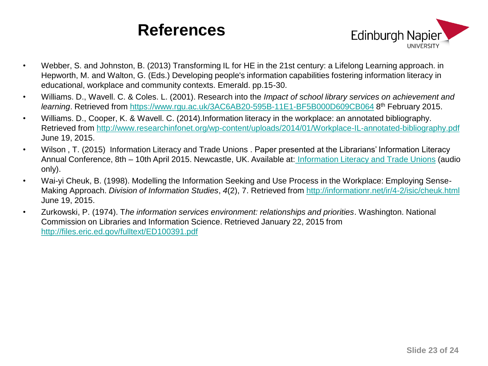

- Webber, S. and Johnston, B. (2013) Transforming IL for HE in the 21st century: a Lifelong Learning approach. in Hepworth, M. and Walton, G. (Eds.) Developing people's information capabilities fostering information literacy in educational, workplace and community contexts. Emerald. pp.15-30.
- Williams. D., Wavell. C. & Coles. L. (2001). Research into the *Impact of school library services on achievement and*  learning. Retrieved from <https://www.rgu.ac.uk/3AC6AB20-595B-11E1-BF5B000D609CB064> 8<sup>th</sup> February 2015.
- Williams. D., Cooper, K. & Wavell. C. (2014).Information literacy in the workplace: an annotated bibliography. Retrieved from <http://www.researchinfonet.org/wp-content/uploads/2014/01/Workplace-IL-annotated-bibliography.pdf> June 19, 2015.
- Wilson , T. (2015) Information Literacy and Trade Unions . Paper presented at the Librarians' Information Literacy Annual Conference, 8th – 10th April 2015. Newcastle, UK. Available at: [Information Literacy and Trade Unions](https://campus.recap.ncl.ac.uk/Panopto/Pages/Viewer.aspx?id=a6d89310-755c-47d1-8b0d-6b955be03a94) (audio only).
- Wai-yi Cheuk, B. (1998). Modelling the Information Seeking and Use Process in the Workplace: Employing Sense-Making Approach. *Division of Information Studies*, *4*(2), 7. Retrieved from<http://informationr.net/ir/4-2/isic/cheuk.html> June 19, 2015.
- Zurkowski, P. (1974). T*he information services environment: relationships and priorities*. Washington. National Commission on Libraries and Information Science. Retrieved January 22, 2015 from <http://files.eric.ed.gov/fulltext/ED100391.pdf>